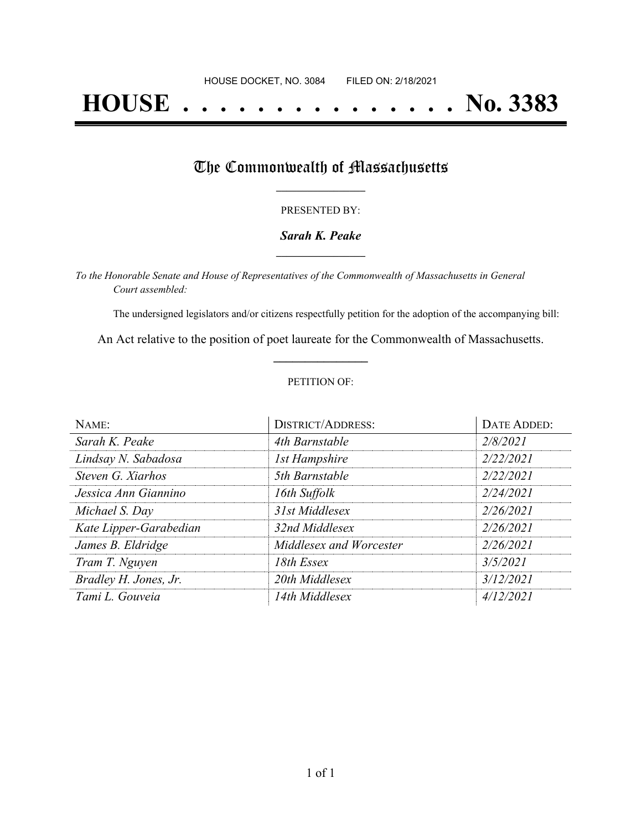# **HOUSE . . . . . . . . . . . . . . . No. 3383**

## The Commonwealth of Massachusetts

#### PRESENTED BY:

#### *Sarah K. Peake* **\_\_\_\_\_\_\_\_\_\_\_\_\_\_\_\_\_**

*To the Honorable Senate and House of Representatives of the Commonwealth of Massachusetts in General Court assembled:*

The undersigned legislators and/or citizens respectfully petition for the adoption of the accompanying bill:

An Act relative to the position of poet laureate for the Commonwealth of Massachusetts. **\_\_\_\_\_\_\_\_\_\_\_\_\_\_\_**

#### PETITION OF:

| NAME:                  | <b>DISTRICT/ADDRESS:</b> | DATE ADDED: |
|------------------------|--------------------------|-------------|
| Sarah K. Peake         | 4th Barnstable           | 2/8/2021    |
| Lindsay N. Sabadosa    | <b>1st Hampshire</b>     | 2/22/2021   |
| Steven G. Xiarhos      | 5th Barnstable           | 2/22/2021   |
| Jessica Ann Giannino   | 16th Suffolk             | 2/24/2021   |
| Michael S. Day         | 31st Middlesex           | 2/26/2021   |
| Kate Lipper-Garabedian | 32nd Middlesex           | 2/26/2021   |
| James B. Eldridge      | Middlesex and Worcester  | 2/26/2021   |
| Tram T. Nguyen         | 18th Essex               | 3/5/2021    |
| Bradley H. Jones, Jr.  | 20th Middlesex           | 3/12/2021   |
| Tami L. Gouveia        | 14th Middlesex           | 4/12/2021   |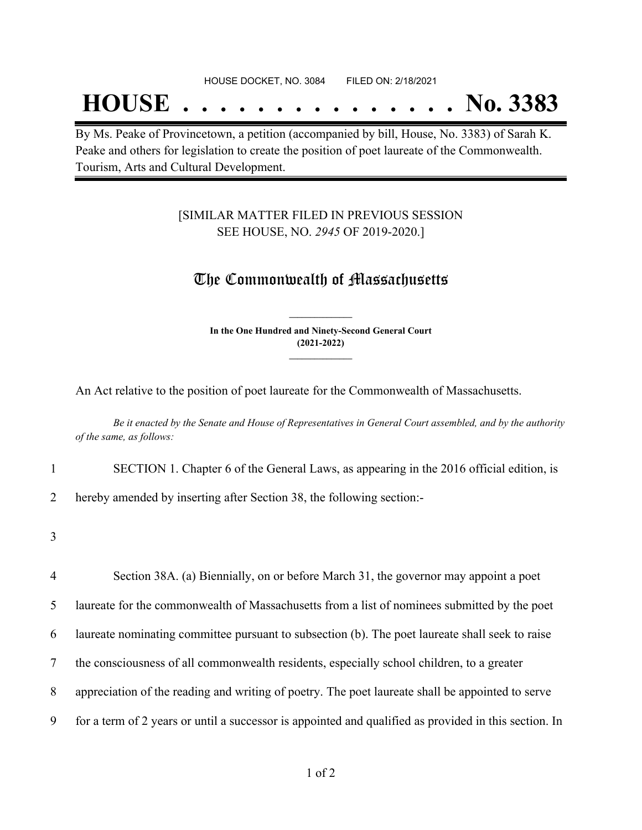## **HOUSE . . . . . . . . . . . . . . . No. 3383**

By Ms. Peake of Provincetown, a petition (accompanied by bill, House, No. 3383) of Sarah K. Peake and others for legislation to create the position of poet laureate of the Commonwealth. Tourism, Arts and Cultural Development.

### [SIMILAR MATTER FILED IN PREVIOUS SESSION SEE HOUSE, NO. *2945* OF 2019-2020.]

## The Commonwealth of Massachusetts

**In the One Hundred and Ninety-Second General Court (2021-2022) \_\_\_\_\_\_\_\_\_\_\_\_\_\_\_**

**\_\_\_\_\_\_\_\_\_\_\_\_\_\_\_**

An Act relative to the position of poet laureate for the Commonwealth of Massachusetts.

Be it enacted by the Senate and House of Representatives in General Court assembled, and by the authority *of the same, as follows:*

1 SECTION 1. Chapter 6 of the General Laws, as appearing in the 2016 official edition, is

2 hereby amended by inserting after Section 38, the following section:-

3

 Section 38A. (a) Biennially, on or before March 31, the governor may appoint a poet laureate for the commonwealth of Massachusetts from a list of nominees submitted by the poet laureate nominating committee pursuant to subsection (b). The poet laureate shall seek to raise the consciousness of all commonwealth residents, especially school children, to a greater appreciation of the reading and writing of poetry. The poet laureate shall be appointed to serve for a term of 2 years or until a successor is appointed and qualified as provided in this section. In